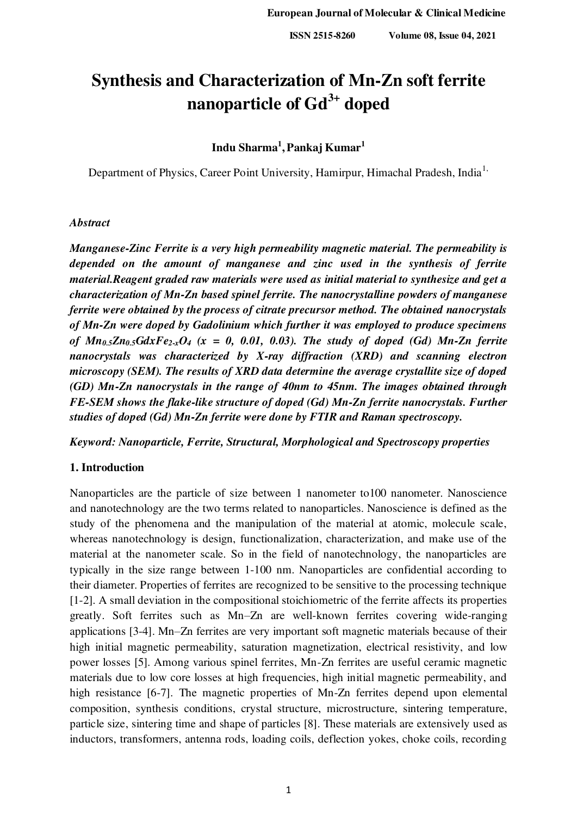# **Synthesis and Characterization of Mn-Zn soft ferrite nanoparticle of Gd3+ doped**

## **Indu Sharma<sup>1</sup> ,Pankaj Kumar<sup>1</sup>**

Department of Physics, Career Point University, Hamirpur, Himachal Pradesh, India<sup>1,</sup>

## *Abstract*

*Manganese-Zinc Ferrite is a very high permeability magnetic material. The permeability is depended on the amount of manganese and zinc used in the synthesis of ferrite material.Reagent graded raw materials were used as initial material to synthesize and get a characterization of Mn-Zn based spinel ferrite. The nanocrystalline powders of manganese ferrite were obtained by the process of citrate precursor method. The obtained nanocrystals of Mn-Zn were doped by Gadolinium which further it was employed to produce specimens*  of  $Mn_{0.5}Zn_{0.5}GdxFe_{2x}O_4$  (x = 0, 0.01, 0.03). The study of doped (Gd) Mn-Zn ferrite *nanocrystals was characterized by X-ray diffraction (XRD) and scanning electron microscopy (SEM). The results of XRD data determine the average crystallite size of doped (GD) Mn-Zn nanocrystals in the range of 40nm to 45nm. The images obtained through FE-SEM shows the flake-like structure of doped (Gd) Mn-Zn ferrite nanocrystals. Further studies of doped (Gd) Mn-Zn ferrite were done by FTIR and Raman spectroscopy.* 

*Keyword: Nanoparticle, Ferrite, Structural, Morphological and Spectroscopy properties* 

## **1. Introduction**

Nanoparticles are the particle of size between 1 nanometer to100 nanometer. Nanoscience and nanotechnology are the two terms related to nanoparticles. Nanoscience is defined as the study of the phenomena and the manipulation of the material at atomic, molecule scale, whereas nanotechnology is design, functionalization, characterization, and make use of the material at the nanometer scale. So in the field of nanotechnology, the nanoparticles are typically in the size range between 1-100 nm. Nanoparticles are confidential according to their diameter. Properties of ferrites are recognized to be sensitive to the processing technique [1-2]. A small deviation in the compositional stoichiometric of the ferrite affects its properties greatly. Soft ferrites such as Mn–Zn are well-known ferrites covering wide-ranging applications [3-4]. Mn–Zn ferrites are very important soft magnetic materials because of their high initial magnetic permeability, saturation magnetization, electrical resistivity, and low power losses [5]. Among various spinel ferrites, Mn-Zn ferrites are useful ceramic magnetic materials due to low core losses at high frequencies, high initial magnetic permeability, and high resistance [6-7]. The magnetic properties of Mn-Zn ferrites depend upon elemental composition, synthesis conditions, crystal structure, microstructure, sintering temperature, particle size, sintering time and shape of particles [8]. These materials are extensively used as inductors, transformers, antenna rods, loading coils, deflection yokes, choke coils, recording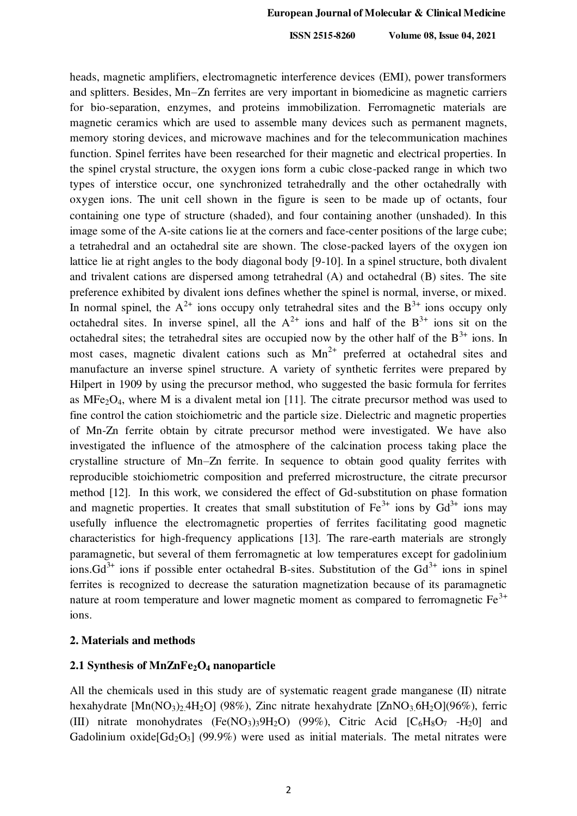heads, magnetic amplifiers, electromagnetic interference devices (EMI), power transformers and splitters. Besides, Mn–Zn ferrites are very important in biomedicine as magnetic carriers for bio-separation, enzymes, and proteins immobilization. Ferromagnetic materials are magnetic ceramics which are used to assemble many devices such as permanent magnets, memory storing devices, and microwave machines and for the telecommunication machines function. Spinel ferrites have been researched for their magnetic and electrical properties. In the spinel crystal structure, the oxygen ions form a cubic close-packed range in which two types of interstice occur, one synchronized tetrahedrally and the other octahedrally with oxygen ions. The unit cell shown in the figure is seen to be made up of octants, four containing one type of structure (shaded), and four containing another (unshaded). In this image some of the A-site cations lie at the corners and face-center positions of the large cube; a tetrahedral and an octahedral site are shown. The close-packed layers of the oxygen ion lattice lie at right angles to the body diagonal body [9-10]. In a spinel structure, both divalent and trivalent cations are dispersed among tetrahedral (A) and octahedral (B) sites. The site preference exhibited by divalent ions defines whether the spinel is normal, inverse, or mixed. In normal spinel, the  $A^{2+}$  ions occupy only tetrahedral sites and the  $B^{3+}$  ions occupy only octahedral sites. In inverse spinel, all the  $A^{2+}$  ions and half of the  $B^{3+}$  ions sit on the octahedral sites; the tetrahedral sites are occupied now by the other half of the  $B<sup>3+</sup>$  ions. In most cases, magnetic divalent cations such as  $Mn^{2+}$  preferred at octahedral sites and manufacture an inverse spinel structure. A variety of synthetic ferrites were prepared by Hilpert in 1909 by using the precursor method, who suggested the basic formula for ferrites as  $MFe<sub>2</sub>O<sub>4</sub>$ , where M is a divalent metal ion [11]. The citrate precursor method was used to fine control the cation stoichiometric and the particle size. Dielectric and magnetic properties of Mn-Zn ferrite obtain by citrate precursor method were investigated. We have also investigated the influence of the atmosphere of the calcination process taking place the crystalline structure of Mn–Zn ferrite. In sequence to obtain good quality ferrites with reproducible stoichiometric composition and preferred microstructure, the citrate precursor method [12]. In this work, we considered the effect of Gd-substitution on phase formation and magnetic properties. It creates that small substitution of  $Fe^{3+}$  ions by  $Gd^{3+}$  ions may usefully influence the electromagnetic properties of ferrites facilitating good magnetic characteristics for high-frequency applications [13]. The rare-earth materials are strongly paramagnetic, but several of them ferromagnetic at low temperatures except for gadolinium ions. $Gd^{3+}$  ions if possible enter octahedral B-sites. Substitution of the  $Gd^{3+}$  ions in spinel ferrites is recognized to decrease the saturation magnetization because of its paramagnetic nature at room temperature and lower magnetic moment as compared to ferromagnetic  $Fe<sup>3+</sup>$ ions.

### **2. Materials and methods**

## **2.1 Synthesis of MnZnFe2O4 nanoparticle**

All the chemicals used in this study are of systematic reagent grade manganese (II) nitrate hexahydrate  $[Mn(NO_3)_24H_2O]$  (98%), Zinc nitrate hexahydrate  $[ZnNO_36H_2O](96\%)$ , ferric (III) nitrate monohydrates (Fe(NO<sub>3</sub>)<sub>3</sub>9H<sub>2</sub>O) (99%), Citric Acid  $[C_6H_8O_7 - H_2O]$  and Gadolinium oxide $[Gd_2O_3]$  (99.9%) were used as initial materials. The metal nitrates were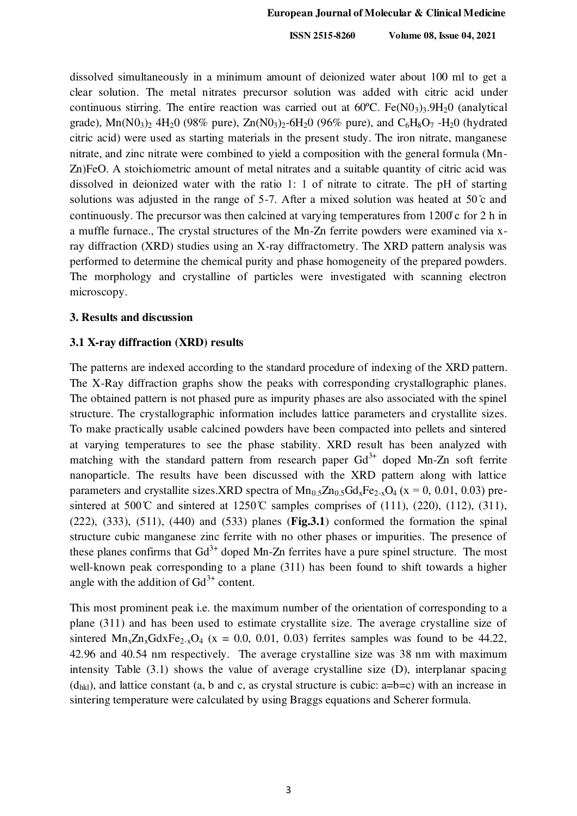dissolved simultaneously in a minimum amount of deionized water about 100 ml to get a clear solution. The metal nitrates precursor solution was added with citric acid under continuous stirring. The entire reaction was carried out at  $60^{\circ}$ C. Fe(N0<sub>3</sub>)<sub>3</sub>.9H<sub>2</sub>0 (analytical grade),  $\text{Mn}(\text{N0}_3)$ <sub>2</sub> 4H<sub>2</sub>O (98% pure), Zn $(\text{N0}_3)$ <sub>2</sub>-6H<sub>2</sub>O (96% pure), and C<sub>6</sub>H<sub>8</sub>O<sub>7</sub> -H<sub>2</sub>O (hydrated citric acid) were used as starting materials in the present study. The iron nitrate, manganese nitrate, and zinc nitrate were combined to yield a composition with the general formula (Mn-Zn)FeO. A stoichiometric amount of metal nitrates and a suitable quantity of citric acid was dissolved in deionized water with the ratio 1: 1 of nitrate to citrate. The pH of starting solutions was adjusted in the range of 5-7. After a mixed solution was heated at 50  $\degree$  and continuously. The precursor was then calcined at varying temperatures from 1200̊ c for 2 h in a muffle furnace., The crystal structures of the Mn-Zn ferrite powders were examined via xray diffraction (XRD) studies using an X-ray diffractometry. The XRD pattern analysis was performed to determine the chemical purity and phase homogeneity of the prepared powders. The morphology and crystalline of particles were investigated with scanning electron microscopy.

## **3. Results and discussion**

#### **3.1 X-ray diffraction (XRD) results**

The patterns are indexed according to the standard procedure of indexing of the XRD pattern. The X-Ray diffraction graphs show the peaks with corresponding crystallographic planes. The obtained pattern is not phased pure as impurity phases are also associated with the spinel structure. The crystallographic information includes lattice parameters and crystallite sizes. To make practically usable calcined powders have been compacted into pellets and sintered at varying temperatures to see the phase stability. XRD result has been analyzed with matching with the standard pattern from research paper  $Gd^{3+}$  doped Mn-Zn soft ferrite nanoparticle. The results have been discussed with the XRD pattern along with lattice parameters and crystallite sizes. XRD spectra of  $Mn_0$   $\overline{5}Zn_0$   $\overline{5}Gd_xFe_{2-x}O_4$  (x = 0, 0.01, 0.03) presintered at 500°C and sintered at 1250°C samples comprises of (111), (220), (112), (311), (222), (333), (511), (440) and (533) planes (**Fig.3.1**) conformed the formation the spinal structure cubic manganese zinc ferrite with no other phases or impurities. The presence of these planes confirms that  $Gd^{3+}$  doped Mn-Zn ferrites have a pure spinel structure. The most well-known peak corresponding to a plane (311) has been found to shift towards a higher angle with the addition of  $Gd^{3+}$  content.

This most prominent peak i.e. the maximum number of the orientation of corresponding to a plane (311) and has been used to estimate crystallite size. The average crystalline size of sintered  $Mn_xZn_xGdxFe_{2-x}O_4$  (x = 0.0, 0.01, 0.03) ferrites samples was found to be 44.22, 42.96 and 40.54 nm respectively. The average crystalline size was 38 nm with maximum intensity Table (3.1) shows the value of average crystalline size (D), interplanar spacing  $(d_{hkl})$ , and lattice constant (a, b and c, as crystal structure is cubic: a=b=c) with an increase in sintering temperature were calculated by using Braggs equations and Scherer formula.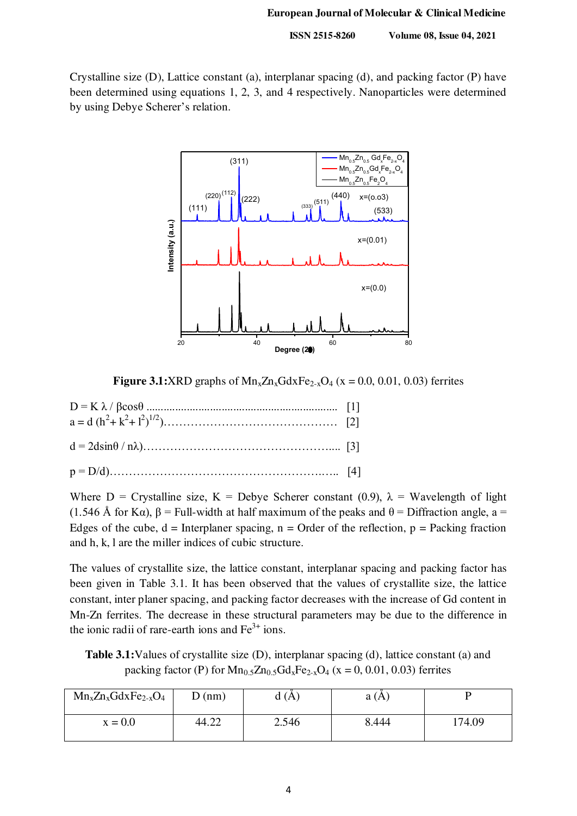Crystalline size (D), Lattice constant (a), interplanar spacing (d), and packing factor (P) have been determined using equations 1, 2, 3, and 4 respectively. Nanoparticles were determined by using Debye Scherer's relation.



**Figure 3.1:**XRD graphs of  $Mn_xZn_xGdxFe_{2-x}O_4$  (x = 0.0, 0.01, 0.03) ferrites

| $a = d (h2 + k2 + l2)1/2) \dots \dots \dots \dots \dots \dots \dots \dots \dots \dots \dots \quad [2]$ |  |
|--------------------------------------------------------------------------------------------------------|--|
|                                                                                                        |  |
|                                                                                                        |  |

Where D = Crystalline size, K = Debye Scherer constant (0.9),  $\lambda$  = Wavelength of light (1.546 Å for Kα),  $\beta$  = Full-width at half maximum of the peaks and  $\theta$  = Diffraction angle, a = Edges of the cube,  $d = Interplane$  spacing,  $n = Order$  of the reflection,  $p = Packing$  fraction and h, k, l are the miller indices of cubic structure.

The values of crystallite size, the lattice constant, interplanar spacing and packing factor has been given in Table 3.1. It has been observed that the values of crystallite size, the lattice constant, inter planer spacing, and packing factor decreases with the increase of Gd content in Mn-Zn ferrites. The decrease in these structural parameters may be due to the difference in the ionic radii of rare-earth ions and  $Fe<sup>3+</sup>$  ions.

**Table 3.1:**Values of crystallite size (D), interplanar spacing (d), lattice constant (a) and packing factor (P) for  $Mn_{0.5}Zn_{0.5}Gd_xFe_{2-x}O_4$  (x = 0, 0.01, 0.03) ferrites

| $Mn_xZn_xGdxFe_{2-x}O_4$ | D(nm) | (A)   | a(A)  |        |
|--------------------------|-------|-------|-------|--------|
| $x = 0.0$                | 44.22 | 2.546 | 8.444 | 174.09 |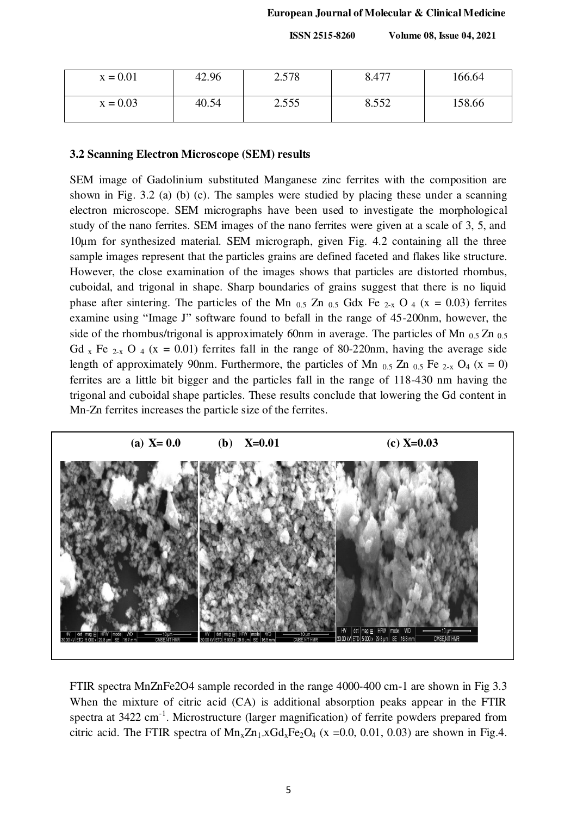| $x = 0.01$ | 42.96 | 2.578 | 8.477 | 166.64 |
|------------|-------|-------|-------|--------|
| $x = 0.03$ | 40.54 | 2.555 | 8.552 | 158.66 |

#### **3.2 Scanning Electron Microscope (SEM) results**

SEM image of Gadolinium substituted Manganese zinc ferrites with the composition are shown in Fig. 3.2 (a) (b) (c). The samples were studied by placing these under a scanning electron microscope. SEM micrographs have been used to investigate the morphological study of the nano ferrites. SEM images of the nano ferrites were given at a scale of 3, 5, and 10µm for synthesized material. SEM micrograph, given Fig. 4.2 containing all the three sample images represent that the particles grains are defined faceted and flakes like structure. However, the close examination of the images shows that particles are distorted rhombus, cuboidal, and trigonal in shape. Sharp boundaries of grains suggest that there is no liquid phase after sintering. The particles of the Mn  $_{0.5}$  Zn  $_{0.5}$  Gdx Fe  $_{2-x}$  O  $_4$  (x = 0.03) ferrites examine using "Image J" software found to befall in the range of 45-200nm, however, the side of the rhombus/trigonal is approximately 60nm in average. The particles of Mn  $_{0.5}$  Zn  $_{0.5}$ Gd x Fe  $_{2-x}$  O  $_4$  (x = 0.01) ferrites fall in the range of 80-220nm, having the average side length of approximately 90nm. Furthermore, the particles of Mn  $_{0.5}$  Zn  $_{0.5}$  Fe  $_{2-x}$  O<sub>4</sub> (x = 0) ferrites are a little bit bigger and the particles fall in the range of 118-430 nm having the trigonal and cuboidal shape particles. These results conclude that lowering the Gd content in Mn-Zn ferrites increases the particle size of the ferrites.



FTIR spectra MnZnFe2O4 sample recorded in the range 4000-400 cm-1 are shown in Fig 3.3 When the mixture of citric acid (CA) is additional absorption peaks appear in the FTIR spectra at  $3422 \text{ cm}^{-1}$ . Microstructure (larger magnification) of ferrite powders prepared from citric acid. The FTIR spectra of  $Mn_xZn_1xGd_xFe_2O_4$  (x =0.0, 0.01, 0.03) are shown in Fig.4.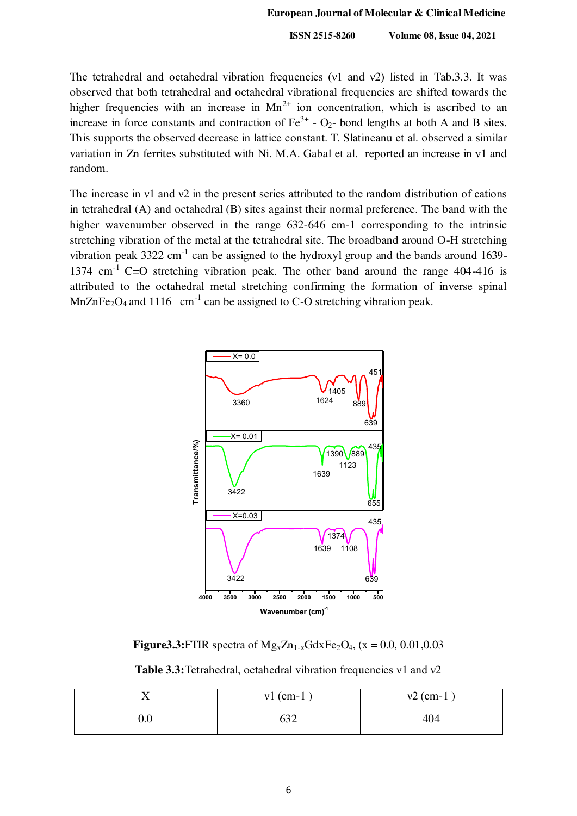The tetrahedral and octahedral vibration frequencies (ν1 and ν2) listed in Tab.3.3. It was observed that both tetrahedral and octahedral vibrational frequencies are shifted towards the higher frequencies with an increase in  $Mn^{2+}$  ion concentration, which is ascribed to an increase in force constants and contraction of  $\text{Fe}^{3+}$  - O<sub>2</sub>- bond lengths at both A and B sites. This supports the observed decrease in lattice constant. T. Slatineanu et al. observed a similar variation in Zn ferrites substituted with Ni. M.A. Gabal et al. reported an increase in ν1 and random.

The increase in ν1 and ν2 in the present series attributed to the random distribution of cations in tetrahedral (A) and octahedral (B) sites against their normal preference. The band with the higher wavenumber observed in the range 632-646 cm-1 corresponding to the intrinsic stretching vibration of the metal at the tetrahedral site. The broadband around O-H stretching vibration peak  $3322 \text{ cm}^{-1}$  can be assigned to the hydroxyl group and the bands around 1639-1374 cm<sup>-1</sup> C=O stretching vibration peak. The other band around the range  $404-416$  is attributed to the octahedral metal stretching confirming the formation of inverse spinal MnZnFe<sub>2</sub>O<sub>4</sub> and 1116 cm<sup>-1</sup> can be assigned to C-O stretching vibration peak.



**Figure3.3:**FTIR spectra of  $Mg_xZn_{1-x}GdxFe_2O_4$ , (x = 0.0, 0.01,0.03)

**Table 3.3:**Tetrahedral, octahedral vibration frequencies ν1 and ν2

|              | $vl$ (cm-1) | $v2$ (cm-1) |
|--------------|-------------|-------------|
| $_{\rm 0.0}$ |             | 404         |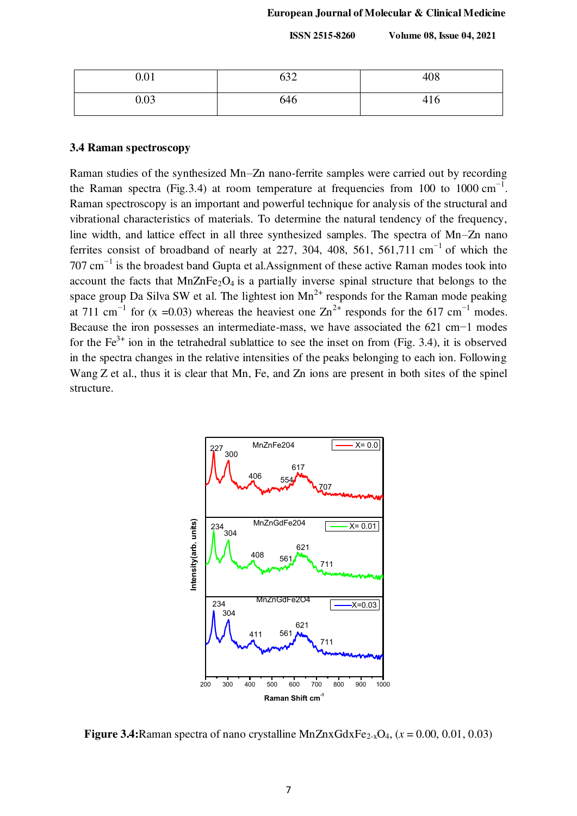| 0.01 | $\sim$<br>09 Z | 408 |
|------|----------------|-----|
| 0.03 | 646            | 416 |

#### **3.4 Raman spectroscopy**

Raman studies of the synthesized Mn–Zn nano-ferrite samples were carried out by recording the Raman spectra (Fig. 3.4) at room temperature at frequencies from 100 to 1000 cm<sup>-1</sup>. Raman spectroscopy is an important and powerful technique for analysis of the structural and vibrational characteristics of materials. To determine the natural tendency of the frequency, line width, and lattice effect in all three synthesized samples. The spectra of Mn–Zn nano ferrites consist of broadband of nearly at 227, 304, 408, 561, 561,711 cm<sup>-1</sup> of which the  $707 \text{ cm}^{-1}$  is the broadest band Gupta et al.Assignment of these active Raman modes took into account the facts that  $MnZnFe<sub>2</sub>O<sub>4</sub>$  is a partially inverse spinal structure that belongs to the space group Da Silva SW et al. The lightest ion  $Mn^{2+}$  responds for the Raman mode peaking at 711 cm<sup>-1</sup> for (x =0.03) whereas the heaviest one  $\text{Zn}^{2+}$  responds for the 617 cm<sup>-1</sup> modes. Because the iron possesses an intermediate-mass, we have associated the 621 cm−1 modes for the  $Fe^{3+}$  ion in the tetrahedral sublattice to see the inset on from (Fig. 3.4), it is observed in the spectra changes in the relative intensities of the peaks belonging to each ion. Following Wang Z et al., thus it is clear that Mn, Fe, and Zn ions are present in both sites of the spinel structure.



**Figure 3.4:**Raman spectra of nano crystalline MnZnxGdxFe<sub>2-x</sub>O<sub>4</sub>,  $(x = 0.00, 0.01, 0.03)$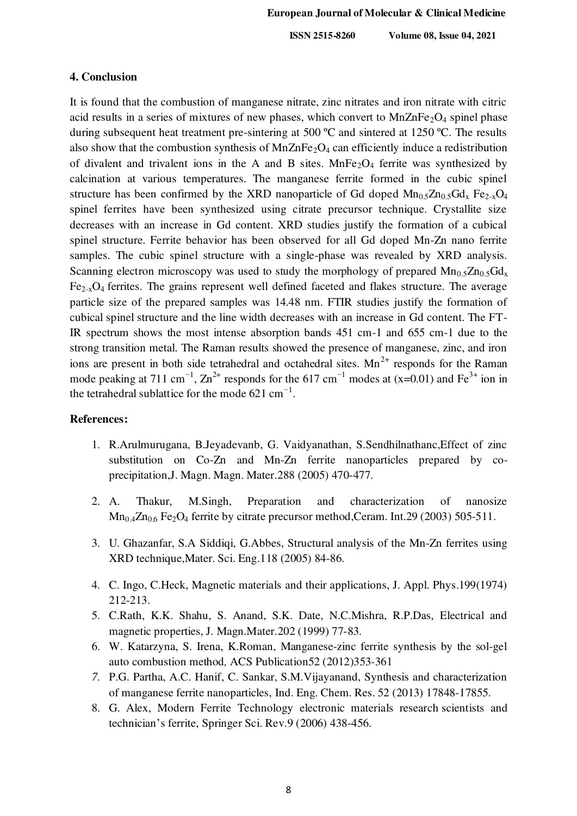#### **4. Conclusion**

It is found that the combustion of manganese nitrate, zinc nitrates and iron nitrate with citric acid results in a series of mixtures of new phases, which convert to  $MnZnFe<sub>2</sub>O<sub>4</sub>$  spinel phase during subsequent heat treatment pre-sintering at 500 °C and sintered at 1250 °C. The results also show that the combustion synthesis of  $MnZnFe<sub>2</sub>O<sub>4</sub>$  can efficiently induce a redistribution of divalent and trivalent ions in the A and B sites.  $MnFe<sub>2</sub>O<sub>4</sub>$  ferrite was synthesized by calcination at various temperatures. The manganese ferrite formed in the cubic spinel structure has been confirmed by the XRD nanoparticle of Gd doped  $Mn_{0.5}Zn_{0.5}Gd_{x}$  Fe<sub>2-x</sub>O<sub>4</sub> spinel ferrites have been synthesized using citrate precursor technique. Crystallite size decreases with an increase in Gd content. XRD studies justify the formation of a cubical spinel structure. Ferrite behavior has been observed for all Gd doped Mn-Zn nano ferrite samples. The cubic spinel structure with a single-phase was revealed by XRD analysis. Scanning electron microscopy was used to study the morphology of prepared  $Mn_{0.5}Zn_{0.5}Gd_{x}$  $Fe<sub>2-x</sub>O<sub>4</sub>$  ferrites. The grains represent well defined faceted and flakes structure. The average particle size of the prepared samples was 14.48 nm. FTIR studies justify the formation of cubical spinel structure and the line width decreases with an increase in Gd content. The FT-IR spectrum shows the most intense absorption bands 451 cm-1 and 655 cm-1 due to the strong transition metal. The Raman results showed the presence of manganese, zinc, and iron ions are present in both side tetrahedral and octahedral sites.  $Mn^{2+}$  responds for the Raman mode peaking at 711 cm<sup>-1</sup>, Zn<sup>2+</sup> responds for the 617 cm<sup>-1</sup> modes at (x=0.01) and Fe<sup>3+</sup> ion in the tetrahedral sublattice for the mode  $621 \text{ cm}^{-1}$ .

### **References:**

- 1. R.Arulmurugana, B.Jeyadevanb, G. Vaidyanathan, S.Sendhilnathanc,Effect of zinc substitution on Co-Zn and Mn-Zn ferrite nanoparticles prepared by coprecipitation,J. Magn. Magn. Mater.288 (2005) 470-477.
- 2. A. Thakur, M.Singh, Preparation and characterization of nanosize  $Mn<sub>0.4</sub>Zn<sub>0.6</sub> Fe<sub>2</sub>O<sub>4</sub>$  ferrite by citrate precursor method, Ceram. Int.29 (2003) 505-511.
- 3. U. Ghazanfar, S.A Siddiqi, G.Abbes, Structural analysis of the Mn-Zn ferrites using XRD technique,Mater. Sci. Eng.118 (2005) 84-86.
- 4. C. Ingo, C.Heck, Magnetic materials and their applications, J. Appl. Phys.199(1974) 212-213.
- 5. C.Rath, K.K. Shahu, S. Anand, S.K. Date, N.C.Mishra, R.P.Das, Electrical and magnetic properties, J. Magn.Mater.202 (1999) 77-83.
- 6. W. Katarzyna, S. Irena, K.Roman, Manganese-zinc ferrite synthesis by the sol-gel auto combustion method*,* ACS Publication52 (2012)353-361
- *7.* P.G. Partha, A.C. Hanif, C. Sankar, S.M.Vijayanand, Synthesis and characterization of manganese ferrite nanoparticles, Ind. Eng. Chem. Res. 52 (2013) 17848-17855.
- 8. G. Alex, Modern Ferrite Technology electronic materials research scientists and technician's ferrite, Springer Sci. Rev.9 (2006) 438-456.